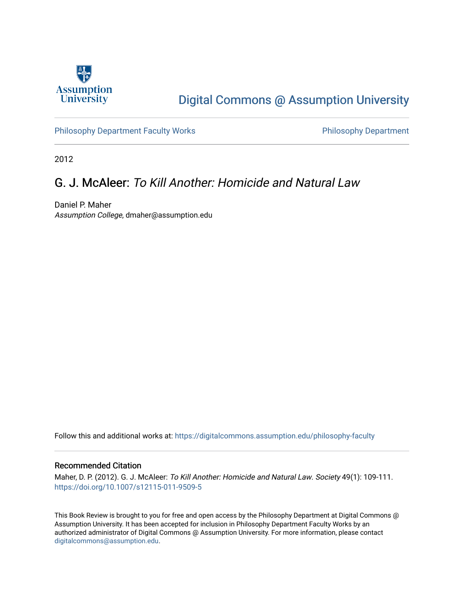

## [Digital Commons @ Assumption University](https://digitalcommons.assumption.edu/)

[Philosophy Department Faculty Works](https://digitalcommons.assumption.edu/philosophy-faculty) **Philosophy Department** 

2012

## G. J. McAleer: To Kill Another: Homicide and Natural Law

Daniel P. Maher Assumption College, dmaher@assumption.edu

Follow this and additional works at: [https://digitalcommons.assumption.edu/philosophy-faculty](https://digitalcommons.assumption.edu/philosophy-faculty?utm_source=digitalcommons.assumption.edu%2Fphilosophy-faculty%2F25&utm_medium=PDF&utm_campaign=PDFCoverPages) 

## Recommended Citation

Maher, D. P. (2012). G. J. McAleer: To Kill Another: Homicide and Natural Law. Society 49(1): 109-111. <https://doi.org/10.1007/s12115-011-9509-5>

This Book Review is brought to you for free and open access by the Philosophy Department at Digital Commons @ Assumption University. It has been accepted for inclusion in Philosophy Department Faculty Works by an authorized administrator of Digital Commons @ Assumption University. For more information, please contact [digitalcommons@assumption.edu](mailto:digitalcommons@assumption.edu).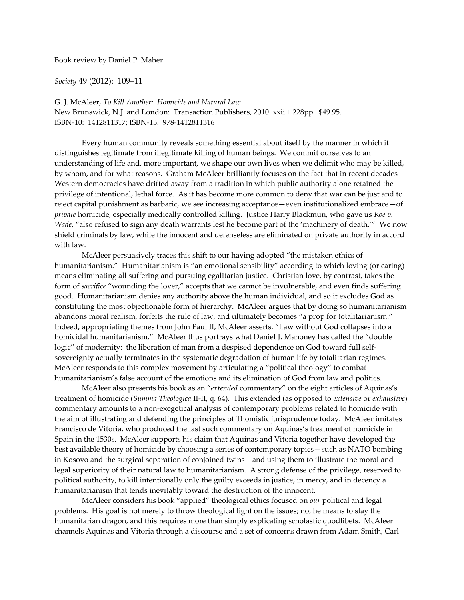Book review by Daniel P. Maher

*Society* 49 (2012): 109–11

G. J. McAleer, *To Kill Another: Homicide and Natural Law* New Brunswick, N.J. and London: Transaction Publishers, 2010. xxii + 228pp. \$49.95. ISBN-10: 1412811317; ISBN-13: 978-1412811316

Every human community reveals something essential about itself by the manner in which it distinguishes legitimate from illegitimate killing of human beings. We commit ourselves to an understanding of life and, more important, we shape our own lives when we delimit who may be killed, by whom, and for what reasons. Graham McAleer brilliantly focuses on the fact that in recent decades Western democracies have drifted away from a tradition in which public authority alone retained the privilege of intentional, lethal force. As it has become more common to deny that war can be just and to reject capital punishment as barbaric, we see increasing acceptance—even institutionalized embrace—of *private* homicide, especially medically controlled killing. Justice Harry Blackmun, who gave us *Roe v. Wade*, "also refused to sign any death warrants lest he become part of the 'machinery of death.'" We now shield criminals by law, while the innocent and defenseless are eliminated on private authority in accord with law.

McAleer persuasively traces this shift to our having adopted "the mistaken ethics of humanitarianism." Humanitarianism is "an emotional sensibility" according to which loving (or caring) means eliminating all suffering and pursuing egalitarian justice. Christian love, by contrast, takes the form of *sacrifice* "wounding the lover," accepts that we cannot be invulnerable, and even finds suffering good. Humanitarianism denies any authority above the human individual, and so it excludes God as constituting the most objectionable form of hierarchy. McAleer argues that by doing so humanitarianism abandons moral realism, forfeits the rule of law, and ultimately becomes "a prop for totalitarianism." Indeed, appropriating themes from John Paul II, McAleer asserts, "Law without God collapses into a homicidal humanitarianism." McAleer thus portrays what Daniel J. Mahoney has called the "double logic" of modernity: the liberation of man from a despised dependence on God toward full selfsovereignty actually terminates in the systematic degradation of human life by totalitarian regimes. McAleer responds to this complex movement by articulating a "political theology" to combat humanitarianism's false account of the emotions and its elimination of God from law and politics.

McAleer also presents his book as an "*extended* commentary" on the eight articles of Aquinas's treatment of homicide (*Summa Theologica* II-II, q. 64). This extended (as opposed to *extensive* or *exhaustive*) commentary amounts to a non-exegetical analysis of contemporary problems related to homicide with the aim of illustrating and defending the principles of Thomistic jurisprudence today. McAleer imitates Francisco de Vitoria, who produced the last such commentary on Aquinas's treatment of homicide in Spain in the 1530s. McAleer supports his claim that Aquinas and Vitoria together have developed the best available theory of homicide by choosing a series of contemporary topics—such as NATO bombing in Kosovo and the surgical separation of conjoined twins—and using them to illustrate the moral and legal superiority of their natural law to humanitarianism. A strong defense of the privilege, reserved to political authority, to kill intentionally only the guilty exceeds in justice, in mercy, and in decency a humanitarianism that tends inevitably toward the destruction of the innocent.

McAleer considers his book "applied" theological ethics focused on *our* political and legal problems. His goal is not merely to throw theological light on the issues; no, he means to slay the humanitarian dragon, and this requires more than simply explicating scholastic quodlibets. McAleer channels Aquinas and Vitoria through a discourse and a set of concerns drawn from Adam Smith, Carl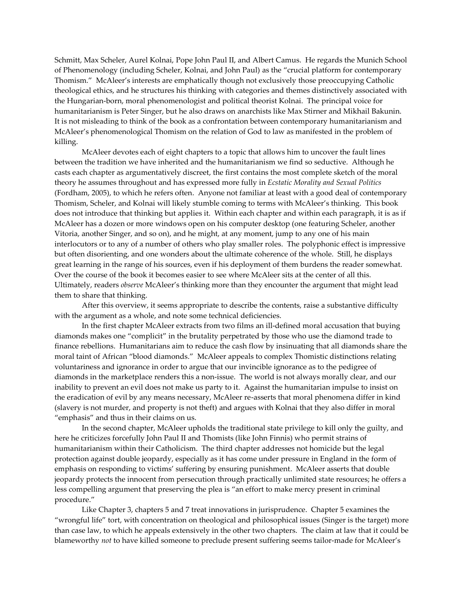Schmitt, Max Scheler, Aurel Kolnai, Pope John Paul II, and Albert Camus. He regards the Munich School of Phenomenology (including Scheler, Kolnai, and John Paul) as the "crucial platform for contemporary Thomism." McAleer's interests are emphatically though not exclusively those preoccupying Catholic theological ethics, and he structures his thinking with categories and themes distinctively associated with the Hungarian-born, moral phenomenologist and political theorist Kolnai. The principal voice for humanitarianism is Peter Singer, but he also draws on anarchists like Max Stirner and Mikhail Bakunin. It is not misleading to think of the book as a confrontation between contemporary humanitarianism and McAleer's phenomenological Thomism on the relation of God to law as manifested in the problem of killing.

McAleer devotes each of eight chapters to a topic that allows him to uncover the fault lines between the tradition we have inherited and the humanitarianism we find so seductive. Although he casts each chapter as argumentatively discreet, the first contains the most complete sketch of the moral theory he assumes throughout and has expressed more fully in *Ecstatic Morality and Sexual Politics* (Fordham, 2005), to which he refers often. Anyone not familiar at least with a good deal of contemporary Thomism, Scheler, and Kolnai will likely stumble coming to terms with McAleer's thinking. This book does not introduce that thinking but applies it. Within each chapter and within each paragraph, it is as if McAleer has a dozen or more windows open on his computer desktop (one featuring Scheler, another Vitoria, another Singer, and so on), and he might, at any moment, jump to any one of his main interlocutors or to any of a number of others who play smaller roles. The polyphonic effect is impressive but often disorienting, and one wonders about the ultimate coherence of the whole. Still, he displays great learning in the range of his sources, even if his deployment of them burdens the reader somewhat. Over the course of the book it becomes easier to see where McAleer sits at the center of all this. Ultimately, readers *observe* McAleer's thinking more than they encounter the argument that might lead them to share that thinking.

After this overview, it seems appropriate to describe the contents, raise a substantive difficulty with the argument as a whole, and note some technical deficiencies.

In the first chapter McAleer extracts from two films an ill-defined moral accusation that buying diamonds makes one "complicit" in the brutality perpetrated by those who use the diamond trade to finance rebellions. Humanitarians aim to reduce the cash flow by insinuating that all diamonds share the moral taint of African "blood diamonds." McAleer appeals to complex Thomistic distinctions relating voluntariness and ignorance in order to argue that our invincible ignorance as to the pedigree of diamonds in the marketplace renders this a non-issue. The world is not always morally clear, and our inability to prevent an evil does not make us party to it. Against the humanitarian impulse to insist on the eradication of evil by any means necessary, McAleer re-asserts that moral phenomena differ in kind (slavery is not murder, and property is not theft) and argues with Kolnai that they also differ in moral "emphasis" and thus in their claims on us.

In the second chapter, McAleer upholds the traditional state privilege to kill only the guilty, and here he criticizes forcefully John Paul II and Thomists (like John Finnis) who permit strains of humanitarianism within their Catholicism. The third chapter addresses not homicide but the legal protection against double jeopardy, especially as it has come under pressure in England in the form of emphasis on responding to victims' suffering by ensuring punishment. McAleer asserts that double jeopardy protects the innocent from persecution through practically unlimited state resources; he offers a less compelling argument that preserving the plea is "an effort to make mercy present in criminal procedure."

Like Chapter 3, chapters 5 and 7 treat innovations in jurisprudence. Chapter 5 examines the "wrongful life" tort, with concentration on theological and philosophical issues (Singer is the target) more than case law, to which he appeals extensively in the other two chapters. The claim at law that it could be blameworthy *not* to have killed someone to preclude present suffering seems tailor-made for McAleer's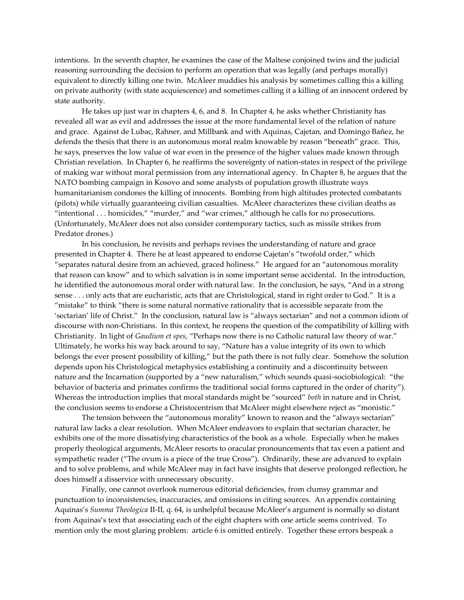intentions. In the seventh chapter, he examines the case of the Maltese conjoined twins and the judicial reasoning surrounding the decision to perform an operation that was legally (and perhaps morally) equivalent to directly killing one twin. McAleer muddies his analysis by sometimes calling this a killing on private authority (with state acquiescence) and sometimes calling it a killing of an innocent ordered by state authority.

He takes up just war in chapters 4, 6, and 8. In Chapter 4, he asks whether Christianity has revealed all war as evil and addresses the issue at the more fundamental level of the relation of nature and grace. Against de Lubac, Rahner, and Millbank and with Aquinas, Cajetan, and Domingo Bañez, he defends the thesis that there is an autonomous moral realm knowable by reason "beneath" grace. This, he says, preserves the low value of war even in the presence of the higher values made known through Christian revelation. In Chapter 6, he reaffirms the sovereignty of nation-states in respect of the privilege of making war without moral permission from any international agency. In Chapter 8, he argues that the NATO bombing campaign in Kosovo and some analysts of population growth illustrate ways humanitarianism condones the killing of innocents. Bombing from high altitudes protected combatants (pilots) while virtually guaranteeing civilian casualties. McAleer characterizes these civilian deaths as "intentional . . . homicides," "murder," and "war crimes," although he calls for no prosecutions. (Unfortunately, McAleer does not also consider contemporary tactics, such as missile strikes from Predator drones.)

In his conclusion, he revisits and perhaps revises the understanding of nature and grace presented in Chapter 4. There he at least appeared to endorse Cajetan's "twofold order," which "separates natural desire from an achieved, graced holiness." He argued for an "autonomous morality that reason can know" and to which salvation is in some important sense accidental. In the introduction, he identified the autonomous moral order with natural law. In the conclusion, he says, "And in a strong sense . . . only acts that are eucharistic, acts that are Christological, stand in right order to God." It is a "mistake" to think "there is some natural normative rationality that is accessible separate from the 'sectarian' life of Christ." In the conclusion, natural law is "always sectarian" and not a common idiom of discourse with non-Christians. In this context, he reopens the question of the compatibility of killing with Christianity. In light of *Gaudium et spes*, "Perhaps now there is no Catholic natural law theory of war." Ultimately, he works his way back around to say, "Nature has a value integrity of its own to which belongs the ever present possibility of killing," but the path there is not fully clear. Somehow the solution depends upon his Christological metaphysics establishing a continuity and a discontinuity between nature and the Incarnation (supported by a "new naturalism," which sounds quasi-sociobiological: "the behavior of bacteria and primates confirms the traditional social forms captured in the order of charity"). Whereas the introduction implies that moral standards might be "sourced" *both* in nature and in Christ, the conclusion seems to endorse a Christocentrism that McAleer might elsewhere reject as "monistic."

The tension between the "autonomous morality" known to reason and the "always sectarian" natural law lacks a clear resolution. When McAleer endeavors to explain that sectarian character, he exhibits one of the more dissatisfying characteristics of the book as a whole. Especially when he makes properly theological arguments, McAleer resorts to oracular pronouncements that tax even a patient and sympathetic reader ("The ovum is a piece of the true Cross"). Ordinarily, these are advanced to explain and to solve problems, and while McAleer may in fact have insights that deserve prolonged reflection, he does himself a disservice with unnecessary obscurity.

Finally, one cannot overlook numerous editorial deficiencies, from clumsy grammar and punctuation to inconsistencies, inaccuracies, and omissions in citing sources. An appendix containing Aquinas's *Summa Theologica* II-II, q. 64, is unhelpful because McAleer's argument is normally so distant from Aquinas's text that associating each of the eight chapters with one article seems contrived. To mention only the most glaring problem: article 6 is omitted entirely. Together these errors bespeak a